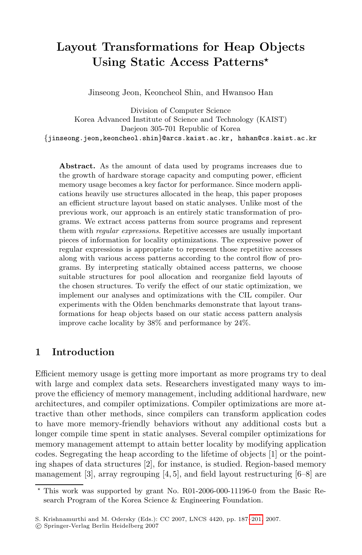# **Layout Transformations for Heap Objects Using Static Access Patterns***-*

Jinseong Jeon, Keoncheol Shin, and Hwansoo Han

Division of Computer Science Korea Advanced Institute of Science and Technology (KAIST) Daejeon 305-701 Republic of Korea {jinseong.jeon,keoncheol.shin}@arcs.kaist.ac.kr, hshan@cs.kaist.ac.kr

**Abstract.** As the amount of data used by programs increases due to the growth of hardware storage capacity and computing power, efficient memory usage becomes a key factor for performance. Since modern applications heavily use structures allocated in the heap, this paper proposes an efficient structure layout based on static analyses. Unlike most of the previous work, our approach is an entirely static transformation of programs. We extract access patterns from source programs and represent them with regular expressions. Repetitive accesses are usually important pieces of information for locality optimizations. The expressive power of regular expressions is appropriate to represent those repetitive accesses along with various access patterns according to the control flow of programs. By interpreting statically obtained access patterns, we choose suitable structures for pool allocation and reorganize field layouts of the chosen structures. To verify the effect of our static optimization, we implement our analyses and optimizations with the CIL compiler. Our experiments with the Olden benchmarks demonstrate that layout transformations for heap objects based on our static access pattern analysis improve cache locality by 38% and performance by 24%.

# **1 Introduction**

Efficient memory usage is getting more important as more programs try to deal with large and complex data sets. Researchers investigated many ways to improve the efficiency of memory management, including additional hardware, new architectures, and compiler optimizations. Compiler optimizations are more attractive than other methods, since compilers can transform application codes to have more memory-friendly behaviors without any additional costs but a longer compile time spent in static analyses. Several compiler optimizations for memory management attempt to attain [bet](#page-14-0)ter locality by modifying application codes. Segregating the heap according to the lifetime of objects [1] or the pointing shapes of data structures [2], for instance, is studied. Region-based memory management [3], array regrouping  $[4, 5]$ , and field layout restructuring  $[6-8]$  are

 $\star$  This work was supported by grant No. R01-2006-000-11196-0 from the Basic Research Program of the Korea Science & Engineering Foundation.

S. Krishnamurthi and M. Odersky (Eds.): CC 2007, LNCS 4420, pp. 187–201, 2007.

<sup>-</sup>c Springer-Verlag Berlin Heidelberg 2007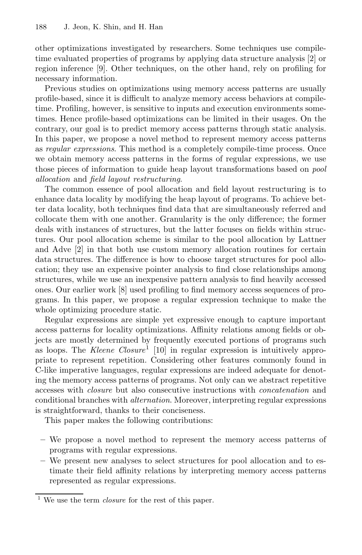other optimizations investigated by researchers. Some techniques use compiletime evaluated properties of programs by applying data structure analysis [2] or region inference [9]. Other techniques, on the other hand, rely on profiling for necessary information.

Previous studies on optimizations using memory access patterns are usually profile-based, since it is difficult to analyze memory access behaviors at compiletime. Profiling, however, is sensitive to inputs and execution environments sometimes. Hence profile-based optimizations can be limited in their usages. On the contrary, our goal is to predict memory access patterns through static analysis. In this paper, we propose a novel method to represent memory access patterns as regular expressions. This method is a completely compile-time process. Once we obtain memory access patterns in the forms of regular expressions, we use those pieces of information to guide heap layout transformations based on pool allocation and field layout restructuring.

The common essence of pool allocation and field layout restructuring is to enhance data locality by modifying the heap layout of programs. To achieve better data locality, both techniques find data that are simultaneously referred and collocate them with one another. Granularity is the only difference; the former deals with instances of structures, but the latter focuses on fields within structures. Our pool allocation scheme is similar to the pool allocation by Lattner and Adve [2] in that both use custom memory allocation routines for certain data structures. The difference is how to choose target structures for pool allocation; they use an expensive pointer analysis to find close relationships among structures, while we use an inexpensive pattern analysis to find heavily accessed ones. Our earlier work [8] used profiling to find memory access sequences of programs. In this paper, we propose a regular expression technique to make the whole optimizing procedure static.

Regular expressions are simple yet expressive enough to capture important access patterns for locality optimizations. Affinity relations among fields or objects are mostly determined by frequently executed portions of programs such as loops. The Kleene Closure<sup>1</sup> [10] in regular expression is intuitively appropriate to represent repetition. Considering other features commonly found in C-like imperative languages, regular expressions are indeed adequate for denoting the memory access patterns of programs. Not only can we abstract repetitive accesses with closure but also consecutive instructions with concatenation and conditional branches with alternation. Moreover, interpreting regular expressions is straightforward, thanks to their conciseness.

This paper makes the following contributions:

- **–** We propose a novel method to represent the memory access patterns of programs with regular expressions.
- **–** We present new analyses to select structures for pool allocation and to estimate their field affinity relations by interpreting memory access patterns represented as regular expressions.

<sup>&</sup>lt;sup>1</sup> We use the term *closure* for the rest of this paper.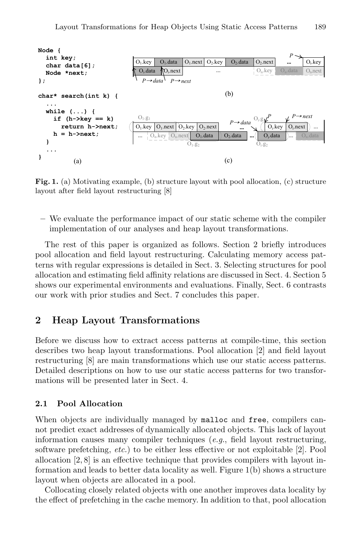

Fig. 1. (a) Motivating example, (b) structure layout with pool allocation, (c) structure layout after field layout restructuring [8]

**–** We evaluate the performance impact of our static scheme with the compiler implementation of our analyses and heap layout transformations.

The rest of this paper is organized as follows. Section 2 briefly introduces pool allocation and field layout restructuring. Calculating memory access patterns with regular expressions is detailed in Sect. 3. Selecting structures for pool allocation and estimating field affinity relations are discussed in Sect. 4. Section 5 shows our experimental environments and evaluations. Finally, Sect. 6 contrasts our work with prior studies and Sect. 7 concludes this paper.

### **2 Heap Layout Transformations**

Before we discuss how to extract access patterns at compile-time, this section describes two heap layout transformations. Pool allocation [2] and field layout restructuring [8] are main transformations which use our static access patterns. Detailed descriptions on how to use our static access patterns for two transformations will be presented later in Sect. 4.

#### **2.1 Pool Allocation**

When objects are individually managed by malloc and free, compilers cannot predict exact addresses of dynamically allocated objects. This lack of layout information causes many compiler techniques (e.g., field layout restructuring, software prefetching, etc.) to be either less effective or not exploitable [2]. Pool allocation [2, 8] is an effective technique that provides compilers with layout information and leads to better data locality as well. Figure 1(b) shows a structure layout when objects are allocated in a pool.

Collocating closely related objects with one another improves data locality by the effect of prefetching in the cache memory. In addition to that, pool allocation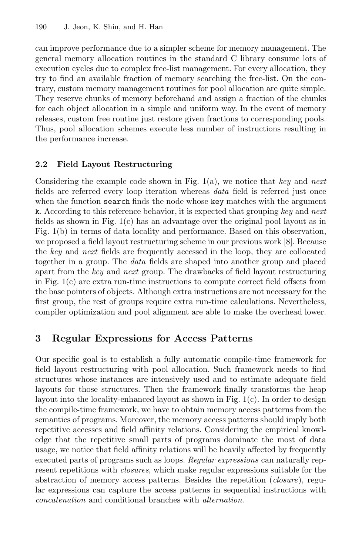can improve performance due to a simpler scheme for memory management. The general memory allocation routines in the standard C library consume lots of execution cycles due to complex free-list management. For every allocation, they try to find an available fraction of memory searching the free-list. On the contrary, custom memory management routines for pool allocation are quite simple. They reserve chunks of memory beforehand and assign a fraction of the chunks for each object allocation in a simple and uniform way. In the event of memory releases, custom free routine just restore given fractions to corresponding pools. Thus, pool allocation schemes execute less number of instructions resulting in the performance increase.

## **2.2 Field Layout Restructuring**

Considering the example code shown in Fig. 1(a), we notice that key and next fields are referred every loop iteration whereas data field is referred just once when the function search finds the node whose key matches with the argument k. According to this reference behavior, it is expected that grouping key and next fields as shown in Fig. 1(c) has an advantage over the original pool layout as in Fig. 1(b) in terms of data locality and performance. Based on this observation, we proposed a field layout restructuring scheme in our previous work [8]. Because the key and next fields are frequently accessed in the loop, they are collocated together in a group. The data fields are shaped into another group and placed apart from the key and next group. The drawbacks of field layout restructuring in Fig. 1(c) are extra run-time instructions to compute correct field offsets from the base pointers of objects. Although extra instructions are not necessary for the first group, the rest of groups require extra run-time calculations. Nevertheless, compiler optimization and pool alignment are able to make the overhead lower.

# **3 Regular Expressions for Access Patterns**

Our specific goal is to establish a fully automatic compile-time framework for field layout restructuring with pool allocation. Such framework needs to find structures whose instances are intensively used and to estimate adequate field layouts for those structures. Then the framework finally transforms the heap layout into the locality-enhanced layout as shown in Fig. 1(c). In order to design the compile-time framework, we have to obtain memory access patterns from the semantics of programs. Moreover, the memory access patterns should imply both repetitive accesses and field affinity relations. Considering the empirical knowledge that the repetitive small parts of programs dominate the most of data usage, we notice that field affinity relations will be heavily affected by frequently executed parts of programs such as loops. Regular expressions can naturally represent repetitions with *closures*, which make regular expressions suitable for the abstraction of memory access patterns. Besides the repetition (closure), regular expressions can capture the access patterns in sequential instructions with concatenation and conditional branches with alternation.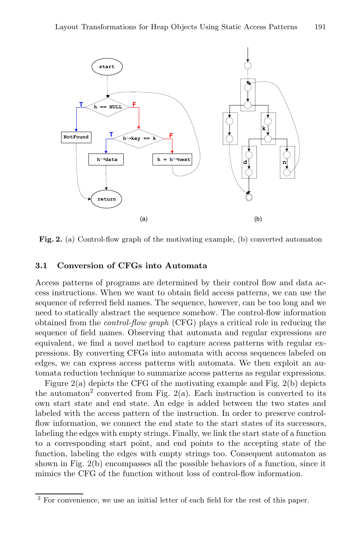

**Fig. 2.** (a) Control-flow graph of the motivating example, (b) converted automaton

### **3.1 Conversion of CFGs into Automata**

Access patterns of programs are determined by their control flow and data access instructions. When we want to obtain field access patterns, we can use the sequence of referred field names. The sequence, however, can be too long and we need to statically abstract the sequence somehow. The control-flow information obtained from the control-flow graph (CFG) plays a critical role in reducing the sequence of field names. Observing that automata and regular expressions are equivalent, we find a novel method to capture access patterns with regular expressions. By converting CFGs into automata with access sequences labeled on edges, we can express access patterns with automata. We then exploit an automata reduction technique to summarize access patterns as regular expressions.

Figure 2(a) depicts the CFG of the motivating example and Fig. 2(b) depicts the automaton<sup>2</sup> converted from Fig. 2(a). Each instruction is converted to its own start state and end state. An edge is added between the two states and labeled with the access pattern of the instruction. In order to preserve controlflow information, we connect the end state to the start states of its successors, labeling the edges with empty strings. Finally, we link the start state of a function to a corresponding start point, and end points to the accepting state of the function, labeling the edges with empty strings too. Consequent automaton as shown in Fig. 2(b) encompasses all the possible behaviors of a function, since it mimics the CFG of the function without loss of control-flow information.

<sup>2</sup> For convenience, we use an initial letter of each field for the rest of this paper.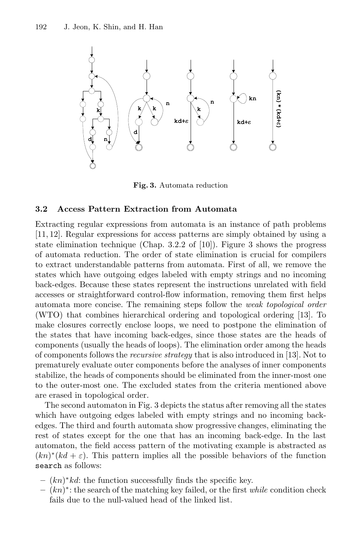

**Fig. 3.** Automata reduction

#### **3.2 Access Pattern Extraction from Automata**

Extracting regular expressions from automata is an instance of path problems [11,12]. Regular expressions for access patterns are simply obtained by using a state elimination technique (Chap. 3.2.2 of [10]). Figure 3 shows the progress of automata reduction. The order of state elimination is crucial for compilers to extract understandable patterns from automata. First of all, we remove the states which have outgoing edges labeled with empty strings and no incoming back-edges. Because these states represent the instructions unrelated with field accesses or straightforward control-flow information, removing them first helps automata more concise. The remaining steps follow the weak topological order (WTO) that combines hierarchical ordering and topological ordering [13]. To make closures correctly enclose loops, we need to postpone the elimination of the states that have incoming back-edges, since those states are the heads of components (usually the heads of loops). The elimination order among the heads of components follows the recursive strategy that is also introduced in [13]. Not to prematurely evaluate outer components before the analyses of inner components stabilize, the heads of components should be eliminated from the inner-most one to the outer-most one. The excluded states from the criteria mentioned above are erased in topological order.

The second automaton in Fig. 3 depicts the status after removing all the states which have outgoing edges labeled with empty strings and no incoming backedges. The third and fourth automata show progressive changes, eliminating the rest of states except for the one that has an incoming back-edge. In the last automaton, the field access pattern of the motivating example is abstracted as  $(kn)$ <sup>\*</sup> $(kd + \varepsilon)$ . This pattern implies all the possible behaviors of the function search as follows:

- **–** (kn)∗kd: the function successfully finds the specific key.
- **–** (kn)∗: the search of the matching key failed, or the first while condition check fails due to the null-valued head of the linked list.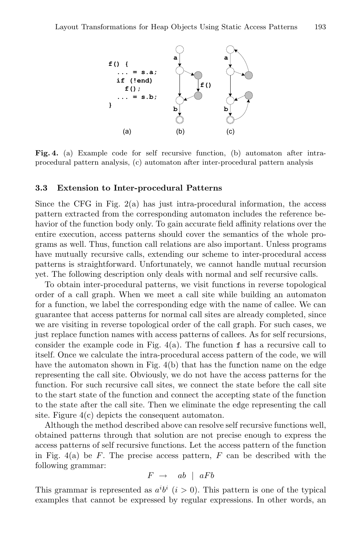

**Fig. 4.** (a) Example code for self recursive function, (b) automaton after intraprocedural pattern analysis, (c) automaton after inter-procedural pattern analysis

#### **3.3 Extension to Inter-procedural Patterns**

Since the CFG in Fig.  $2(a)$  has just intra-procedural information, the access pattern extracted from the corresponding automaton includes the reference behavior of the function body only. To gain accurate field affinity relations over the entire execution, access patterns should cover the semantics of the whole programs as well. Thus, function call relations are also important. Unless programs have mutually recursive calls, extending our scheme to inter-procedural access patterns is straightforward. Unfortunately, we cannot handle mutual recursion yet. The following description only deals with normal and self recursive calls.

To obtain inter-procedural patterns, we visit functions in reverse topological order of a call graph. When we meet a call site while building an automaton for a function, we label the corresponding edge with the name of callee. We can guarantee that access patterns for normal call sites are already completed, since we are visiting in reverse topological order of the call graph. For such cases, we just replace function names with access patterns of callees. As for self recursions, consider the example code in Fig.  $4(a)$ . The function f has a recursive call to itself. Once we calculate the intra-procedural access pattern of the code, we will have the automaton shown in Fig. 4(b) that has the function name on the edge representing the call site. Obviously, we do not have the access patterns for the function. For such recursive call sites, we connect the state before the call site to the start state of the function and connect the accepting state of the function to the state after the call site. Then we eliminate the edge representing the call site. Figure 4(c) depicts the consequent automaton.

Although the method described above can resolve self recursive functions well, obtained patterns through that solution are not precise enough to express the access patterns of self recursive functions. Let the access pattern of the function in Fig.  $4(a)$  be F. The precise access pattern, F can be described with the following grammar:

$$
F \rightarrow ab \mid aFb
$$

This grammar is represented as  $a^i b^i$   $(i > 0)$ . This pattern is one of the typical examples that cannot be expressed by regular expressions. In other words, an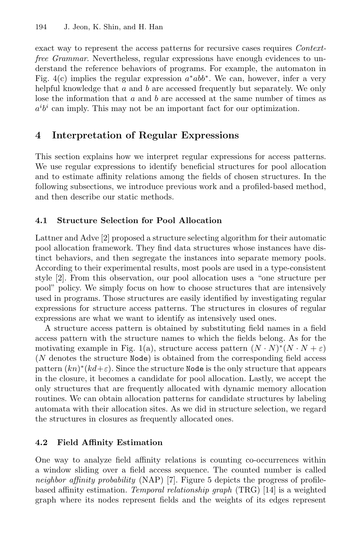exact way to represent the access patterns for recursive cases requires Contextfree Grammar. Nevertheless, regular expressions have enough evidences to understand the reference behaviors of programs. For example, the automaton in Fig. 4(c) implies the regular expression  $a^*abb^*$ . We can, however, infer a very helpful knowledge that  $a$  and  $b$  are accessed frequently but separately. We only lose the information that a and b are accessed at the same number of times as  $a^i b^i$  can imply. This may not be an important fact for our optimization.

# **4 Interpretation of Regular Expressions**

This section explains how we interpret regular expressions for access patterns. We use regular expressions to identify beneficial structures for pool allocation and to estimate affinity relations among the fields of chosen structures. In the following subsections, we introduce previous work and a profiled-based method, and then describe our static methods.

### **4.1 Structure Selection for Pool Allocation**

Lattner and Adve [2] proposed a structure selecting algorithm for their automatic pool allocation framework. They find data structures whose instances have distinct behaviors, and then segregate the instances into separate memory pools. According to their experimental results, most pools are used in a type-consistent style [2]. From this observation, our pool allocation uses a "one structure per pool" policy. We simply focus on how to choose structures that are intensively used in programs. Those structures are easily identified by investigating regular expressions for structure access patterns. The structures in closures of regular expressions are what we want to identify as intensively used ones.

A structure access pattern is obtained by substituting field names in a field access pattern with the structure names to which the fields belong. As for the motivating example in Fig. 1(a), structure access pattern  $(N \cdot N)^*(N \cdot N + \varepsilon)$ (N denotes the structure Node) is obtained from the corresponding field access pattern  $(kn)*(kd+\varepsilon)$ . Since the structure Node is the only structure that appears in the closure, it becomes a candidate for pool allocation. Lastly, we accept the only structures that are frequently allocated with dynamic memory allocation routines. We can obtain allocation patterns for candidate structures by labeling automata with their allocation sites. As we did in structure selection, we regard the structures in closures as frequently allocated ones.

### **4.2 Field Affinity Estimation**

One way to analyze field affinity relations is counting co-occurrences within a window sliding over a field access sequence. The counted number is called neighbor affinity probability (NAP) [7]. Figure 5 depicts the progress of profilebased affinity estimation. Temporal relationship graph (TRG) [14] is a weighted graph where its nodes represent fields and the weights of its edges represent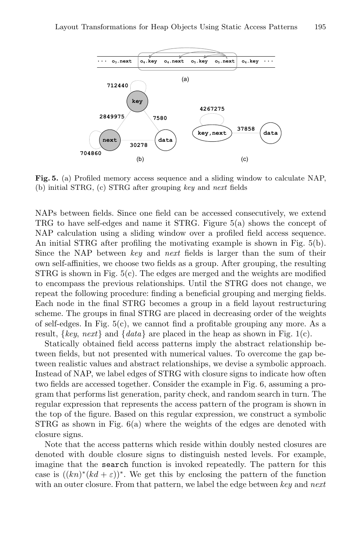

**Fig. 5.** (a) Profiled memory access sequence and a sliding window to calculate NAP, (b) initial STRG, (c) STRG after grouping key and next fields

NAPs between fields. Since one field can be accessed consecutively, we extend TRG to have self-edges and name it STRG. Figure 5(a) shows the concept of NAP calculation using a sliding window over a profiled field access sequence. An initial STRG after profiling the motivating example is shown in Fig. 5(b). Since the NAP between key and next fields is larger than the sum of their own self-affinities, we choose two fields as a group. After grouping, the resulting STRG is shown in Fig. 5(c). The edges are merged and the weights are modified to encompass the previous relationships. Until the STRG does not change, we repeat the following procedure: finding a beneficial grouping and merging fields. Each node in the final STRG becomes a group in a field layout restructuring scheme. The groups in final STRG are placed in decreasing order of the weights of self-edges. In Fig. 5(c), we cannot find a profitable grouping any more. As a result,  $\{key, next\}$  and  $\{data\}$  are placed in the heap as shown in Fig. 1(c).

Statically obtained field access patterns imply the abstract relationship between fields, but not presented with numerical values. To overcome the gap between realistic values and abstract relationships, we devise a symbolic approach. Instead of NAP, we label edges of STRG with closure signs to indicate how often two fields are accessed together. Consider the example in Fig. 6, assuming a program that performs list generation, parity check, and random search in turn. The regular expression that represents the access pattern of the program is shown in the top of the figure. Based on this regular expression, we construct a symbolic STRG as shown in Fig. 6(a) where the weights of the edges are denoted with closure signs.

Note that the access patterns which reside within doubly nested closures are denoted with double closure signs to distinguish nested levels. For example, imagine that the search function is invoked repeatedly. The pattern for this case is  $((kn)*(kd + \varepsilon))^*$ . We get this by enclosing the pattern of the function with an outer closure. From that pattern, we label the edge between key and next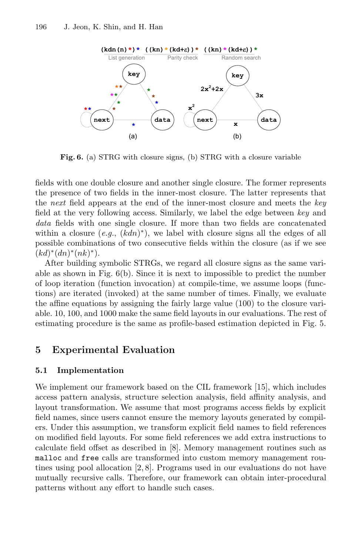

**Fig. 6.** (a) STRG with closure signs, (b) STRG with a closure variable

fields with one double closure and another single closure. The former represents the presence of two fields in the inner-most closure. The latter represents that the next field appears at the end of the inner-most closure and meets the key field at the very following access. Similarly, we label the edge between key and data fields with one single closure. If more than two fields are concatenated within a closure  $(e.g., (kdn)^*)$ , we label with closure signs all the edges of all possible combinations of two consecutive fields within the closure (as if we see  $(kd)$ <sup>\*</sup> $(dn)$ <sup>\*</sup> $(nk)$ <sup>\*</sup>).

After building symbolic STRGs, we regard all closure signs as the same variable as shown in Fig. 6(b). Since it is next to impossible to predict the number of loop iteration (function invocation) at compile-time, we assume loops (functions) are iterated (invoked) at the same number of times. Finally, we evaluate the affine equations by assigning the fairly large value (100) to the closure variable. 10, 100, and 1000 make the same field layouts in our evaluations. The rest of estimating procedure is the same as profile-based estimation depicted in Fig. 5.

# **5 Experimental Evaluation**

### **5.1 Implementation**

We implement our framework based on the CIL framework [15], which includes access pattern analysis, structure selection analysis, field affinity analysis, and layout transformation. We assume that most programs access fields by explicit field names, since users cannot ensure the memory layouts generated by compilers. Under this assumption, we transform explicit field names to field references on modified field layouts. For some field references we add extra instructions to calculate field offset as described in [8]. Memory management routines such as malloc and free calls are transformed into custom memory management routines using pool allocation [2, 8]. Programs used in our evaluations do not have mutually recursive calls. Therefore, our framework can obtain inter-procedural patterns without any effort to handle such cases.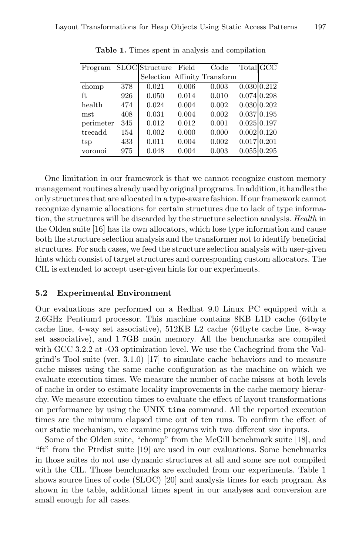|           |     | Program SLOC Structure Field Code |       |                              | Total GCC       |  |
|-----------|-----|-----------------------------------|-------|------------------------------|-----------------|--|
|           |     |                                   |       | Selection Affinity Transform |                 |  |
| chomp     | 378 | 0.021                             | 0.006 | 0.003                        | 0.030 0.212     |  |
| ft        | 926 | 0.050                             | 0.014 | 0.010                        | 0.074 0.298     |  |
| health    | 474 | 0.024                             | 0.004 | 0.002                        | $0.030$ $0.202$ |  |
| mst       | 408 | 0.031                             | 0.004 | 0.002                        | 0.037 0.195     |  |
| perimeter | 345 | 0.012                             | 0.012 | 0.001                        | 0.025 0.197     |  |
| treeadd   | 154 | 0.002                             | 0.000 | 0.000                        | 0.002 0.120     |  |
| tsp       | 433 | 0.011                             | 0.004 | 0.002                        | $0.017$ 0.201   |  |
| voronoi   | 975 | 0.048                             | 0.004 | 0.003                        | $0.055$ 0.295   |  |
|           |     |                                   |       |                              |                 |  |

**Table 1.** Times spent in analysis and compilation

One limitation in our framework is that we cannot recognize custom memory management routines already used by original programs. In addition, it handles the only structures that are allocated in a type-awarefashion. If our framework cannot recognize dynamic allocations for certain structures due to lack of type information, the structures will be discarded by the structure selection analysis. Health in the Olden suite [16] has its own allocators, which lose type information and cause both the structure selection analysis and the transformer not to identify beneficial structures. For such cases, we feed the structure selection analysis with user-given hints which consist of target structures and corresponding custom allocators. The CIL is extended to accept user-given hints for our experiments.

### **5.2 Experimental Environment**

Our evaluations are performed on a Redhat 9.0 Linux PC equipped with a 2.6GHz Pentium4 processor. This machine contains 8KB L1D cache (64byte cache line, 4-way set associative), 512KB L2 cache (64byte cache line, 8-way set associative), and 1.7GB main memory. All the benchmarks are compiled with GCC 3.2.2 at -O3 optimization level. We use the Cachegrind from the Valgrind's Tool suite (ver. 3.1.0) [17] to simulate cache behaviors and to measure cache misses using the same cache configuration as the machine on which we evaluate execution times. We measure the number of cache misses at both levels of cache in order to estimate locality improvements in the cache memory hierarchy. We measure execution times to evaluate the effect of layout transformations on performance by using the UNIX time command. All the reported execution times are the minimum elapsed time out of ten runs. To confirm the effect of our static mechanism, we examine programs with two different size inputs.

Some of the Olden suite, "chomp" from the McGill benchmark suite [18], and "ft" from the Ptrdist suite [19] are used in our evaluations. Some benchmarks in those suites do not use dynamic structures at all and some are not compiled with the CIL. Those benchmarks are excluded from our experiments. Table 1 shows source lines of code (SLOC) [20] and analysis times for each program. As shown in the table, additional times spent in our analyses and conversion are small enough for all cases.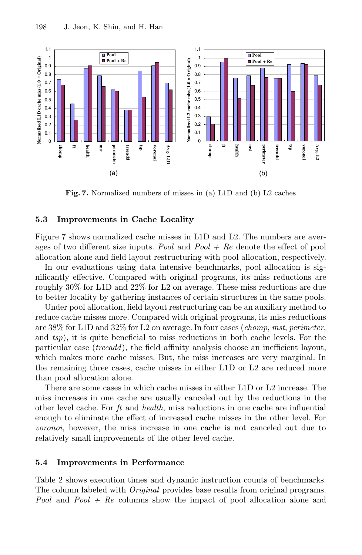

**Fig. 7.** Normalized numbers of misses in (a) L1D and (b) L2 caches

### **5.3 Improvements in Cache Locality**

Figure 7 shows normalized cache misses in L1D and L2. The numbers are averages of two different size inputs. Pool and  $Pool + Re$  denote the effect of pool allocation alone and field layout restructuring with pool allocation, respectively.

In our evaluations using data intensive benchmarks, pool allocation is significantly effective. Compared with original programs, its miss reductions are roughly 30% for L1D and 22% for L2 on average. These miss reductions are due to better locality by gathering instances of certain structures in the same pools.

Under pool allocation, field layout restructuring can be an auxiliary method to reduce cache misses more. Compared with original programs, its miss reductions are 38% for L1D and 32% for L2 on average. In four cases (chomp, mst, perimeter, and  $tsp$ , it is quite beneficial to miss reductions in both cache levels. For the particular case (treeadd), the field affinity analysis choose an inefficient layout, which makes more cache misses. But, the miss increases are very marginal. In the remaining three cases, cache misses in either L1D or L2 are reduced more than pool allocation alone.

There are some cases in which cache misses in either L1D or L2 increase. The miss increases in one cache are usually canceled out by the reductions in the other level cache. For  $ft$  and health, miss reductions in one cache are influential enough to eliminate the effect of increased cache misses in the other level. For voronoi, however, the miss increase in one cache is not canceled out due to relatively small improvements of the other level cache.

### **5.4 Improvements in Performance**

Table 2 shows execution times and dynamic instruction counts of benchmarks. The column labeled with *Original* provides base results from original programs. Pool and Pool  $+$  Re columns show the impact of pool allocation alone and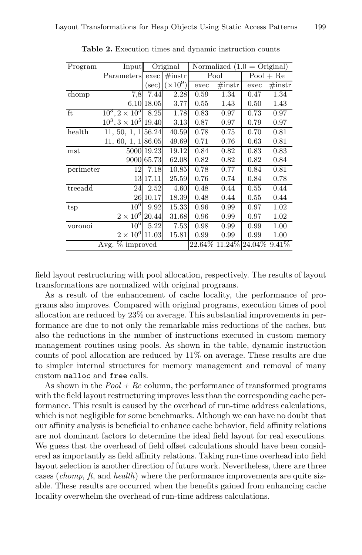| Program         | Input                          | Original      |                   | Normalized $(1.0 = Original)$ |            |             |                  |
|-----------------|--------------------------------|---------------|-------------------|-------------------------------|------------|-------------|------------------|
|                 | Parameters                     | exec          | $\#\text{instr}$  | Pool                          |            | $Pool + Re$ |                  |
|                 |                                | (sec)         | $(\times 10^{9})$ | exec                          | $\#$ instr | exec        | $\#\text{instr}$ |
| chomp           | 7,8                            | 7.44          | 2.28              | 0.59                          | 1.34       | 0.47        | 1.34             |
|                 | 6,10                           | 18.05         | 3.77              | 0.55                          | 1.43       | 0.50        | 1.43             |
| ft              | $10^3, 2 \times 10^5$          | 8.25          | 1.78              | 0.83                          | 0.97       | 0.73        | 0.97             |
|                 | $10^3$ , $3 \times 10^5$ 19.40 |               | 3.13              | 0.87                          | 0.97       | 0.79        | 0.97             |
| health          | $11, 50, 1, 1$ 56.24           |               | 40.59             | 0.78                          | 0.75       | 0.70        | 0.81             |
|                 | 11, 60, 1, 1 86.05             |               | 49.69             | 0.71                          | 0.76       | 0.63        | 0.81             |
| mst             |                                | 5000 19.23    | 19.12             | 0.84                          | 0.82       | 0.83        | 0.83             |
|                 | 9000                           | 65.73         | 62.08             | 0.82                          | 0.82       | 0.82        | 0.84             |
| perimeter       | 12                             | 7.18          | 10.85             | 0.78                          | 0.77       | 0.84        | 0.81             |
|                 |                                | 13 17.11      | 25.59             | 0.76                          | 0.74       | 0.84        | 0.78             |
| treeadd         | 24                             | 2.52          | 4.60              | 0.48                          | 0.44       | 0.55        | 0.44             |
|                 |                                | 26 10.17      | 18.39             | 0.48                          | 0.44       | 0.55        | 0.44             |
| tsp             | 10 <sup>6</sup>                | 9.92          | 15.33             | 0.96                          | 0.99       | 0.97        | 1.02             |
|                 | $2\times10^6$                  | 20.44         | 31.68             | 0.96                          | 0.99       | 0.97        | 1.02             |
| voronoi         | $10^6$                         | 5.22          | 7.53              | 0.98                          | 0.99       | 0.99        | 1.00             |
|                 | $2 \times 10^6$                | 11.03         | 15.81             | 0.99                          | 0.99       | 0.99        | 1.00             |
| Avg. % improved |                                | 22.64% 11.24% | 24.04%            | $9.41\%$                      |            |             |                  |

**Table 2.** Execution times and dynamic instruction counts

field layout restructuring with pool allocation, respectively. The results of layout transformations are normalized with original programs.

As a result of the enhancement of cache locality, the performance of programs also improves. Compared with original programs, execution times of pool allocation are reduced by 23% on average. This substantial improvements in performance are due to not only the remarkable miss reductions of the caches, but also the reductions in the number of instructions executed in custom memory management routines using pools. As shown in the table, dynamic instruction counts of pool allocation are reduced by 11% on average. These results are due to simpler internal structures for memory management and removal of many custom malloc and free calls.

As shown in the  $Pool + Re$  column, the performance of transformed programs with the field layout restructuring improves less than the corresponding cache performance. This result is caused by the overhead of run-time address calculations, which is not negligible for some benchmarks. Although we can have no doubt that our affinity analysis is beneficial to enhance cache behavior, field affinity relations are not dominant factors to determine the ideal field layout for real executions. We guess that the overhead of field offset calculations should have been considered as importantly as field affinity relations. Taking run-time overhead into field layout selection is another direction of future work. Nevertheless, there are three cases (chomp, ft, and health) where the performance improvements are quite sizable. These results are occurred when the benefits gained from enhancing cache locality overwhelm the overhead of run-time address calculations.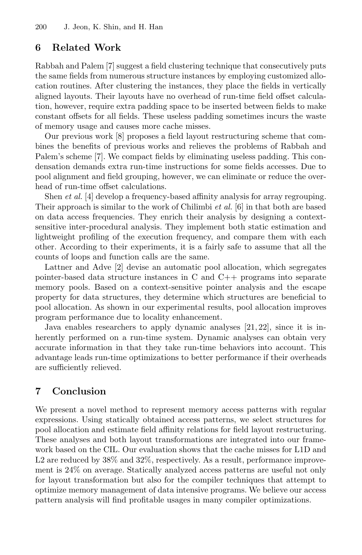# **6 Related Work**

Rabbah and Palem [7] suggest a field clustering technique that consecutively puts the same fields from numerous structure instances by employing customized allocation routines. After clustering the instances, they place the fields in vertically aligned layouts. Their layouts have no overhead of run-time field offset calculation, however, require extra padding space to be inserted between fields to make constant offsets for all fields. These useless padding sometimes incurs the waste of memory usage and causes more cache misses.

Our previous work [8] proposes a field layout restructuring scheme that combines the benefits of previous works and relieves the problems of Rabbah and Palem's scheme [7]. We compact fields by eliminating useless padding. This condensation demands extra run-time instructions for some fields accesses. Due to pool alignment and field grouping, however, we can eliminate or reduce the overhead of run-time offset calculations.

Shen *et al.* [4] develop a frequency-based affinity analysis for array regrouping. Their approach is similar to the work of Chilimbi et al. [6] in that both are based on data access frequencies. They enrich their analysis by designing a contextsensitive inter-procedural analysis. They implement both static estimation and lightweight profiling of the execution frequency, and compare them with each other. According to their experiments, it is a fairly safe to assume that all the counts of loops and function calls are the same.

Lattner and Adve [2] devise an automatic pool allocation, which segregates pointer-based data structure instances in C and C++ programs into separate memory pools. Based on a context-sensitive pointer analysis and the escape property for data structures, they determine which structures are beneficial to pool allocation. As shown in our experimental results, pool allocation improves program performance due to locality enhancement.

Java enables researchers to apply dynamic analyses [21,22], since it is inherently performed on a run-time system. Dynamic analyses can obtain very accurate information in that they take run-time behaviors into account. This advantage leads run-time optimizations to better performance if their overheads are sufficiently relieved.

# **7 Conclusion**

We present a novel method to represent memory access patterns with regular expressions. Using statically obtained access patterns, we select structures for pool allocation and estimate field affinity relations for field layout restructuring. These analyses and both layout transformations are integrated into our framework based on the CIL. Our evaluation shows that the cache misses for L1D and L2 are reduced by 38% and 32%, respectively. As a result, performance improvement is 24% on average. Statically analyzed access patterns are useful not only for layout transformation but also for the compiler techniques that attempt to optimize memory management of data intensive programs. We believe our access pattern analysis will find profitable usages in many compiler optimizations.